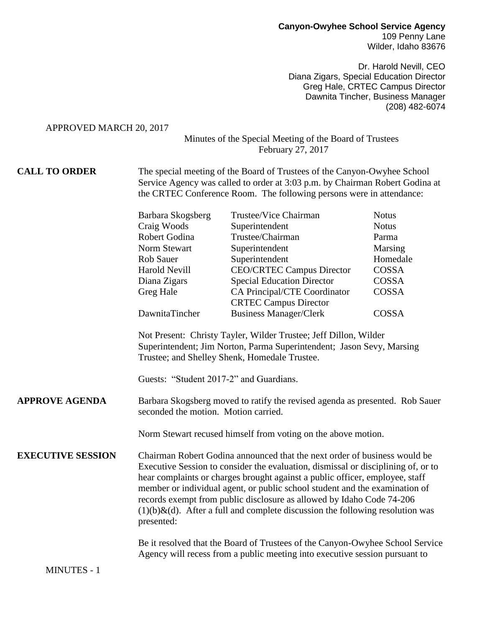## **Canyon-Owyhee School Service Agency** 109 Penny Lane Wilder, Idaho 83676

Dr. Harold Nevill, CEO Diana Zigars, Special Education Director Greg Hale, CRTEC Campus Director Dawnita Tincher, Business Manager (208) 482-6074

APPROVED MARCH 20, 2017

## Minutes of the Special Meeting of the Board of Trustees February 27, 2017

## **CALL TO ORDER** The special meeting of the Board of Trustees of the Canyon-Owyhee School Service Agency was called to order at 3:03 p.m. by Chairman Robert Godina at the CRTEC Conference Room. The following persons were in attendance:

|                                                               | Barbara Skogsberg                                                                                                                                                                          | Trustee/Vice Chairman                                         | <b>Notus</b> |
|---------------------------------------------------------------|--------------------------------------------------------------------------------------------------------------------------------------------------------------------------------------------|---------------------------------------------------------------|--------------|
|                                                               | Craig Woods                                                                                                                                                                                | Superintendent                                                | <b>Notus</b> |
|                                                               | Robert Godina                                                                                                                                                                              | Trustee/Chairman                                              | Parma        |
|                                                               | Norm Stewart                                                                                                                                                                               | Superintendent                                                | Marsing      |
|                                                               | <b>Rob Sauer</b>                                                                                                                                                                           | Superintendent                                                | Homedale     |
|                                                               | Harold Nevill                                                                                                                                                                              | <b>CEO/CRTEC Campus Director</b>                              | COSSA        |
|                                                               | Diana Zigars                                                                                                                                                                               | <b>Special Education Director</b>                             | COSSA        |
|                                                               | Greg Hale                                                                                                                                                                                  | CA Principal/CTE Coordinator                                  | COSSA        |
|                                                               | DawnitaTincher                                                                                                                                                                             | <b>CRTEC Campus Director</b><br><b>Business Manager/Clerk</b> | COSSA        |
|                                                               | Not Present: Christy Tayler, Wilder Trustee; Jeff Dillon, Wilder<br>Superintendent; Jim Norton, Parma Superintendent; Jason Sevy, Marsing<br>Trustee; and Shelley Shenk, Homedale Trustee. |                                                               |              |
|                                                               | Guests: "Student 2017-2" and Guardians.                                                                                                                                                    |                                                               |              |
| <b>APPROVE AGENDA</b>                                         | Barbara Skogsberg moved to ratify the revised agenda as presented. Rob Sauer<br>seconded the motion. Motion carried.                                                                       |                                                               |              |
| Norm Stewart recused himself from voting on the above motion. |                                                                                                                                                                                            |                                                               |              |
|                                                               |                                                                                                                                                                                            |                                                               |              |

**EXECUTIVE SESSION** Chairman Robert Godina announced that the next order of business would be Executive Session to consider the evaluation, dismissal or disciplining of, or to hear complaints or charges brought against a public officer, employee, staff member or individual agent, or public school student and the examination of records exempt from public disclosure as allowed by Idaho Code 74-206  $(1)(b)$ &(d). After a full and complete discussion the following resolution was presented:

> Be it resolved that the Board of Trustees of the Canyon-Owyhee School Service Agency will recess from a public meeting into executive session pursuant to

MINUTES - 1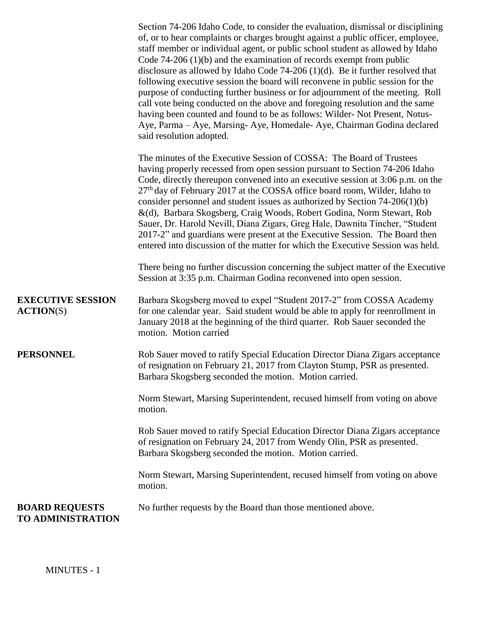|                                                | Section 74-206 Idaho Code, to consider the evaluation, dismissal or disciplining<br>of, or to hear complaints or charges brought against a public officer, employee,<br>staff member or individual agent, or public school student as allowed by Idaho<br>Code $74-206(1)(b)$ and the examination of records exempt from public<br>disclosure as allowed by Idaho Code $74-206$ (1)(d). Be it further resolved that<br>following executive session the board will reconvene in public session for the<br>purpose of conducting further business or for adjournment of the meeting. Roll<br>call vote being conducted on the above and foregoing resolution and the same<br>having been counted and found to be as follows: Wilder-Not Present, Notus-<br>Aye, Parma - Aye, Marsing- Aye, Homedale- Aye, Chairman Godina declared<br>said resolution adopted. |
|------------------------------------------------|--------------------------------------------------------------------------------------------------------------------------------------------------------------------------------------------------------------------------------------------------------------------------------------------------------------------------------------------------------------------------------------------------------------------------------------------------------------------------------------------------------------------------------------------------------------------------------------------------------------------------------------------------------------------------------------------------------------------------------------------------------------------------------------------------------------------------------------------------------------|
|                                                | The minutes of the Executive Session of COSSA: The Board of Trustees<br>having properly recessed from open session pursuant to Section 74-206 Idaho<br>Code, directly thereupon convened into an executive session at 3:06 p.m. on the<br>$27th$ day of February 2017 at the COSSA office board room, Wilder, Idaho to<br>consider personnel and student issues as authorized by Section $74-206(1)(b)$<br>&(d), Barbara Skogsberg, Craig Woods, Robert Godina, Norm Stewart, Rob<br>Sauer, Dr. Harold Nevill, Diana Zigars, Greg Hale, Dawnita Tincher, "Student<br>2017-2" and guardians were present at the Executive Session. The Board then<br>entered into discussion of the matter for which the Executive Session was held.                                                                                                                          |
|                                                | There being no further discussion concerning the subject matter of the Executive<br>Session at 3:35 p.m. Chairman Godina reconvened into open session.                                                                                                                                                                                                                                                                                                                                                                                                                                                                                                                                                                                                                                                                                                       |
| <b>EXECUTIVE SESSION</b><br>$\text{ACTION}(S)$ | Barbara Skogsberg moved to expel "Student 2017-2" from COSSA Academy<br>for one calendar year. Said student would be able to apply for reenrollment in<br>January 2018 at the beginning of the third quarter. Rob Sauer seconded the<br>motion. Motion carried                                                                                                                                                                                                                                                                                                                                                                                                                                                                                                                                                                                               |
| PERSONNEL                                      | Rob Sauer moved to ratify Special Education Director Diana Zigars acceptance<br>of resignation on February 21, 2017 from Clayton Stump, PSR as presented.<br>Barbara Skogsberg seconded the motion. Motion carried.                                                                                                                                                                                                                                                                                                                                                                                                                                                                                                                                                                                                                                          |
|                                                | Norm Stewart, Marsing Superintendent, recused himself from voting on above<br>motion.                                                                                                                                                                                                                                                                                                                                                                                                                                                                                                                                                                                                                                                                                                                                                                        |
|                                                | Rob Sauer moved to ratify Special Education Director Diana Zigars acceptance<br>of resignation on February 24, 2017 from Wendy Olin, PSR as presented.<br>Barbara Skogsberg seconded the motion. Motion carried.                                                                                                                                                                                                                                                                                                                                                                                                                                                                                                                                                                                                                                             |
|                                                | Norm Stewart, Marsing Superintendent, recused himself from voting on above<br>motion.                                                                                                                                                                                                                                                                                                                                                                                                                                                                                                                                                                                                                                                                                                                                                                        |
| <b>BOARD REQUESTS</b><br>TO ADMINISTRATION     | No further requests by the Board than those mentioned above.                                                                                                                                                                                                                                                                                                                                                                                                                                                                                                                                                                                                                                                                                                                                                                                                 |